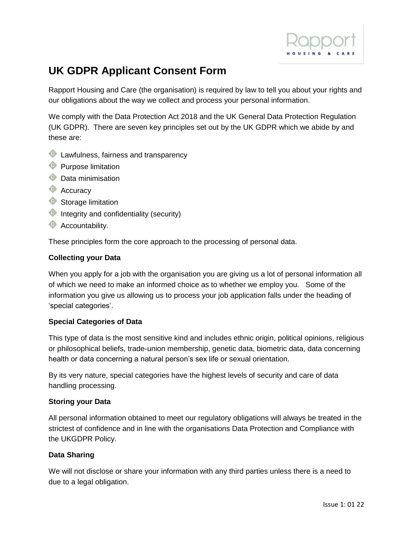

# **UK GDPR Applicant Consent Form**

Rapport Housing and Care (the organisation) is required by law to tell you about your rights and our obligations about the way we collect and process your personal information.

We comply with the Data Protection Act 2018 and the UK General Data Protection Regulation (UK GDPR). There are seven key principles set out by the UK GDPR which we abide by and these are:

- **C** Lawfulness, fairness and transparency
- **Purpose limitation**
- **Data minimisation**
- **Accuracy**
- Storage limitation
- **Integrity and confidentiality (security)**
- **Accountability.**

These principles form the core approach to the processing of personal data.

#### **Collecting your Data**

When you apply for a job with the organisation you are giving us a lot of personal information all of which we need to make an informed choice as to whether we employ you. Some of the information you give us allowing us to process your job application falls under the heading of 'special categories'.

#### **Special Categories of Data**

This type of data is the most sensitive kind and includes ethnic origin, political opinions, religious or philosophical beliefs, trade-union membership, genetic data, biometric data, data concerning health or data concerning a natural person's sex life or sexual orientation.

By its very nature, special categories have the highest levels of security and care of data handling processing.

## **Storing your Data**

All personal information obtained to meet our regulatory obligations will always be treated in the strictest of confidence and in line with the organisations Data Protection and Compliance with the UKGDPR Policy.

## **Data Sharing**

We will not disclose or share your information with any third parties unless there is a need to due to a legal obligation.